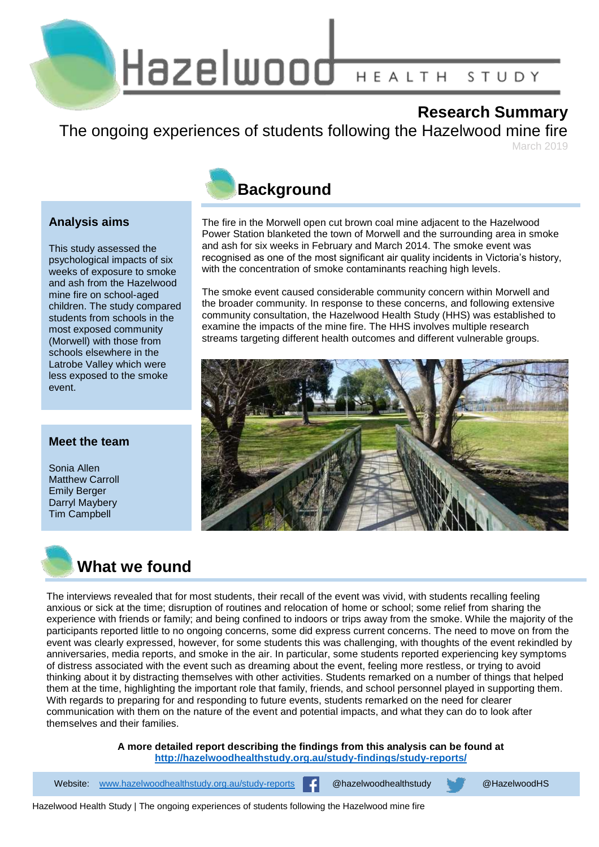Hazelwood HEALTH STUDY

## **Research Summary**

The ongoing experiences of students following the Hazelwood mine fire March 2010

## **Analysis aims**

This study assessed the psychological impacts of six weeks of exposure to smoke and ash from the Hazelwood mine fire on school-aged children. The study compared students from schools in the most exposed community (Morwell) with those from schools elsewhere in the Latrobe Valley which were less exposed to the smoke event.

## **Meet the team**

Sonia Allen Matthew Carroll Emily Berger Darryl Maybery Tim Campbell



The fire in the Morwell open cut brown coal mine adjacent to the Hazelwood Power Station blanketed the town of Morwell and the surrounding area in smoke and ash for six weeks in February and March 2014. The smoke event was recognised as one of the most significant air quality incidents in Victoria's history, with the concentration of smoke contaminants reaching high levels.

The smoke event caused considerable community concern within Morwell and the broader community. In response to these concerns, and following extensive community consultation, the Hazelwood Health Study (HHS) was established to examine the impacts of the mine fire. The HHS involves multiple research streams targeting different health outcomes and different vulnerable groups.





**What we found**

The interviews revealed that for most students, their recall of the event was vivid, with students recalling feeling anxious or sick at the time; disruption of routines and relocation of home or school; some relief from sharing the experience with friends or family; and being confined to indoors or trips away from the smoke. While the majority of the participants reported little to no ongoing concerns, some did express current concerns. The need to move on from the event was clearly expressed, however, for some students this was challenging, with thoughts of the event rekindled by anniversaries, media reports, and smoke in the air. In particular, some students reported experiencing key symptoms of distress associated with the event such as dreaming about the event, feeling more restless, or trying to avoid thinking about it by distracting themselves with other activities. Students remarked on a number of things that helped them at the time, highlighting the important role that family, friends, and school personnel played in supporting them. With regards to preparing for and responding to future events, students remarked on the need for clearer communication with them on the nature of the event and potential impacts, and what they can do to look after themselves and their families.

> **A more detailed report describing the findings from this analysis can be found at <http://hazelwoodhealthstudy.org.au/study-findings/study-reports/>**

Website: [www.hazelwoodhealthstudy.org.au/study-reports](http://www.hazelwoodhealthstudy.org.au/study-reports) **Company** @hazelwoodhealthstudy @HazelwoodHS

Hazelwood Health Study | The ongoing experiences of students following the Hazelwood mine fire